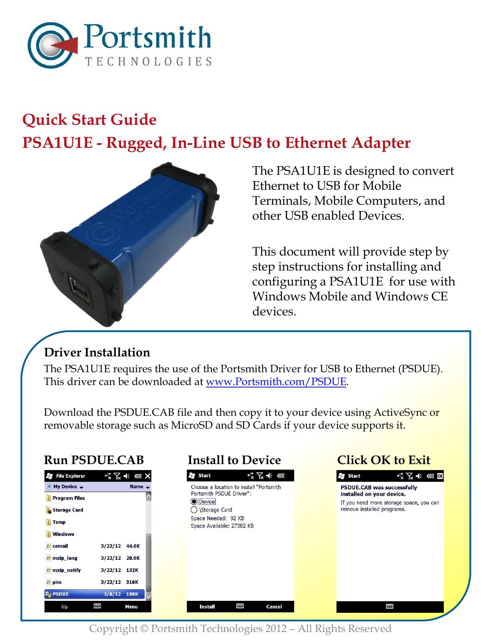

# **Quick Start Guide PSA1U1E - Rugged, In-Line USB to Ethernet Adapter**



The PSA1U1E is designed to convert Ethernet to USB for Mobile Terminals, Mobile Computers, and other USB enabled Devices.

This document will provide step by step instructions for installing and configuring a PSA1U1E for use with Windows Mobile and Windows CE devices.

### **Driver Installation**

The PSA1U1E requires the use of the Portsmith Driver for USB to Ethernet (PSDUE). This driver can be downloaded at [www.Portsmith.com/PSDUE.](http://www.portsmith.com/PSDUE)

Download the PSDUE.CAB file and then copy it to your device using ActiveSync or removable storage such as MicroSD and SD Cards if your device supports it.

### **Run PSDUE.CAB Install to Device Click OK to Exit**

| <b>S</b> File Explorer  |               |      |   |  |
|-------------------------|---------------|------|---|--|
| My Device $\rightarrow$ | Name -        |      |   |  |
| Program Files           |               |      |   |  |
| Storage Card            |               |      |   |  |
| <b>Temp</b>             |               |      |   |  |
| <b>Windows</b>          |               |      | × |  |
| <b>E</b> cemail         | 3/22/12 44.0K |      |   |  |
| <b>E</b> mxip_lang      | 3/22/12 28.0K |      |   |  |
| <b>A</b> mxip_notify    | 3/22/12 132K  |      |   |  |
| pim                     | 3/22/12 316K  |      |   |  |
| PSDUE                   | 3/8/12 198K   |      |   |  |
| Up                      | ₩             | Menu |   |  |





Copyright © Portsmith Technologies 2012 – All Rights Reserved

W

**Install** 

Cancel